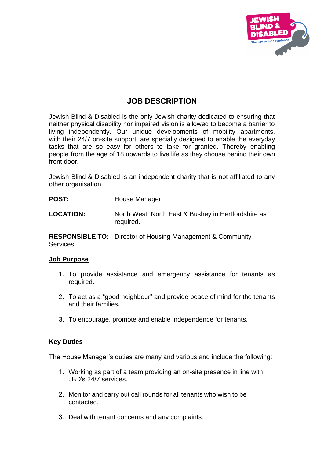

# **JOB DESCRIPTION**

Jewish Blind & Disabled is the only Jewish charity dedicated to ensuring that neither physical disability nor impaired vision is allowed to become a barrier to living independently. Our unique developments of mobility apartments, with their 24/7 on-site support, are specially designed to enable the everyday tasks that are so easy for others to take for granted. Thereby enabling people from the age of 18 upwards to live life as they choose behind their own front door.

Jewish Blind & Disabled is an independent charity that is not affiliated to any other organisation.

- POST: House Manager
- **LOCATION:** North West, North East & Bushey in Hertfordshire as required.

**RESPONSIBLE TO:** Director of Housing Management & Community **Services** 

## **Job Purpose**

- 1. To provide assistance and emergency assistance for tenants as required.
- 2. To act as a "good neighbour" and provide peace of mind for the tenants and their families.
- 3. To encourage, promote and enable independence for tenants.

## **Key Duties**

The House Manager's duties are many and various and include the following:

- 1. Working as part of a team providing an on-site presence in line with JBD's 24/7 services.
- 2. Monitor and carry out call rounds for all tenants who wish to be contacted.
- 3. Deal with tenant concerns and any complaints.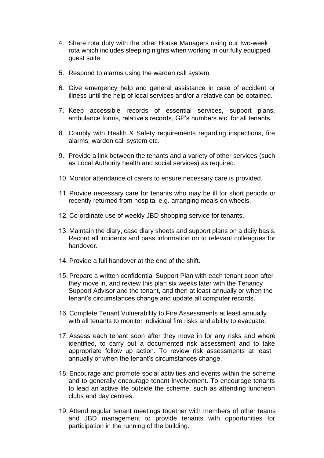- 4. Share rota duty with the other House Managers using our two-week rota which includes sleeping nights when working in our fully equipped guest suite.
- 5. Respond to alarms using the warden call system.
- 6. Give emergency help and general assistance in case of accident or illness until the help of local services and/or a relative can be obtained.
- 7. Keep accessible records of essential services, support plans, ambulance forms, relative's records, GP's numbers etc. for all tenants.
- 8. Comply with Health & Safety requirements regarding inspections, fire alarms, warden call system etc.
- 9. Provide a link between the tenants and a variety of other services (such as Local Authority health and social services) as required.
- 10. Monitor attendance of carers to ensure necessary care is provided.
- 11. Provide necessary care for tenants who may be ill for short periods or recently returned from hospital e.g. arranging meals on wheels.
- 12. Co-ordinate use of weekly JBD shopping service for tenants.
- 13. Maintain the diary, case diary sheets and support plans on a daily basis. Record all incidents and pass information on to relevant colleagues for handover.
- 14. Provide a full handover at the end of the shift.
- 15. Prepare a written confidential Support Plan with each tenant soon after they move in, and review this plan six weeks later with the Tenancy Support Advisor and the tenant, and then at least annually or when the tenant's circumstances change and update all computer records.
- 16. Complete Tenant Vulnerability to Fire Assessments at least annually with all tenants to monitor individual fire risks and ability to evacuate.
- 17. Assess each tenant soon after they move in for any risks and where identified, to carry out a documented risk assessment and to take appropriate follow up action. To review risk assessments at least annually or when the tenant's circumstances change.
- 18. Encourage and promote social activities and events within the scheme and to generally encourage tenant involvement. To encourage tenants to lead an active life outside the scheme, such as attending luncheon clubs and day centres.
- 19. Attend regular tenant meetings together with members of other teams and JBD management to provide tenants with opportunities for participation in the running of the building.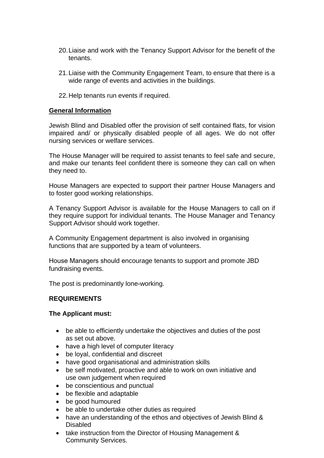- 20.Liaise and work with the Tenancy Support Advisor for the benefit of the tenants.
- 21.Liaise with the Community Engagement Team, to ensure that there is a wide range of events and activities in the buildings.
- 22.Help tenants run events if required.

#### **General Information**

Jewish Blind and Disabled offer the provision of self contained flats, for vision impaired and/ or physically disabled people of all ages. We do not offer nursing services or welfare services.

The House Manager will be required to assist tenants to feel safe and secure, and make our tenants feel confident there is someone they can call on when they need to.

House Managers are expected to support their partner House Managers and to foster good working relationships.

A Tenancy Support Advisor is available for the House Managers to call on if they require support for individual tenants. The House Manager and Tenancy Support Advisor should work together.

A Community Engagement department is also involved in organising functions that are supported by a team of volunteers.

House Managers should encourage tenants to support and promote JBD fundraising events.

The post is predominantly lone-working.

## **REQUIREMENTS**

#### **The Applicant must:**

- be able to efficiently undertake the objectives and duties of the post as set out above.
- have a high level of computer literacy
- be loyal, confidential and discreet
- have good organisational and administration skills
- be self motivated, proactive and able to work on own initiative and use own judgement when required
- be conscientious and punctual
- be flexible and adaptable
- be good humoured
- be able to undertake other duties as required
- have an understanding of the ethos and objectives of Jewish Blind & Disabled
- take instruction from the Director of Housing Management & Community Services.